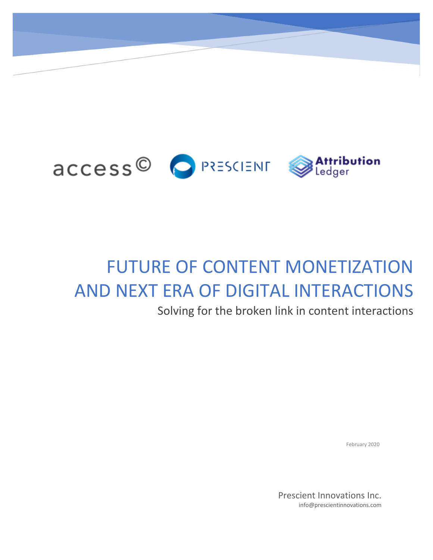

## FUTURE OF CONTENT MONETIZATION AND NEXT ERA OF DIGITAL INTERACTIONS

Solving for the broken link in content interactions

February 2020

Prescient Innovations Inc. info@prescientinnovations.com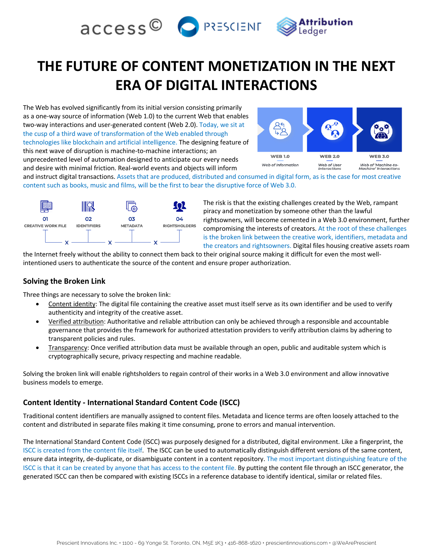

## **THE FUTURE OF CONTENT MONETIZATION IN THE NEXT ERA OF DIGITAL INTERACTIONS**

The Web has evolved significantly from its initial version consisting primarily as a one-way source of information (Web 1.0) to the current Web that enables two-way interactions and user-generated content (Web 2.0). Today, we sit at the cusp of a third wave of transformation of the Web enabled through technologies like blockchain and artificial intelligence. The designing feature of this next wave of disruption is machine-to-machine interactions; an unprecedented level of automation designed to anticipate our every needs and desire with minimal friction. Real-world events and objects will inform



and instruct digital transactions. Assets that are produced, distributed and consumed in digital form, as is the case for most creative content such as books, music and films, will be the first to bear the disruptive force of Web 3.0.



The risk is that the existing challenges created by the Web, rampant piracy and monetization by someone other than the lawful rightsowners, will become cemented in a Web 3.0 environment, further compromising the interests of creators. At the root of these challenges is the broken link between the creative work, identifiers, metadata and the creators and rightsowners. Digital files housing creative assets roam

the Internet freely without the ability to connect them back to their original source making it difficult for even the most wellintentioned users to authenticate the source of the content and ensure proper authorization.

#### **Solving the Broken Link**

Three things are necessary to solve the broken link:

- Content identity: The digital file containing the creative asset must itself serve as its own identifier and be used to verify authenticity and integrity of the creative asset.
- Verified attribution: Authoritative and reliable attribution can only be achieved through a responsible and accountable governance that provides the framework for authorized attestation providers to verify attribution claims by adhering to transparent policies and rules.
- Transparency: Once verified attribution data must be available through an open, public and auditable system which is cryptographically secure, privacy respecting and machine readable.

Solving the broken link will enable rightsholders to regain control of their works in a Web 3.0 environment and allow innovative business models to emerge.

#### **Content Identity - International Standard Content Code (ISCC)**

Traditional content identifiers are manually assigned to content files. Metadata and licence terms are often loosely attached to the content and distributed in separate files making it time consuming, prone to errors and manual intervention.

The International Standard Content Code (ISCC) was purposely designed for a distributed, digital environment. Like a fingerprint, the ISCC is created from the content file itself. The ISCC can be used to automatically distinguish different versions of the same content, ensure data integrity, de-duplicate, or disambiguate content in a content repository. The most important distinguishing feature of the ISCC is that it can be created by anyone that has access to the content file. By putting the content file through an ISCC generator, the generated ISCC can then be compared with existing ISCCs in a reference database to identify identical, similar or related files.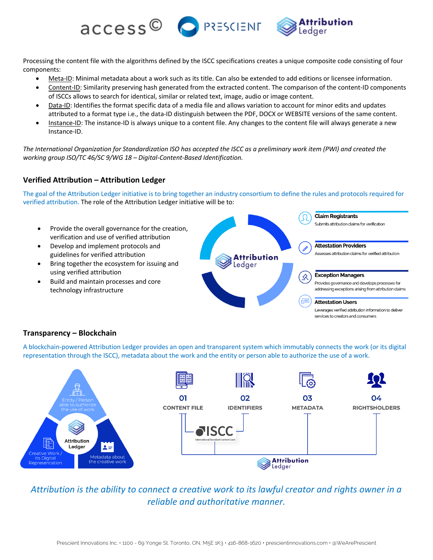Processing the content file with the algorithms defined by the ISCC specifications creates a unique composite code consisting of four components:

access<sup>©</sup> PRESCIENT

- Meta-ID: Minimal metadata about a work such as its title. Can also be extended to add editions or licensee information.
- Content-ID: Similarity preserving hash generated from the extracted content. The comparison of the content-ID components of ISCCs allows to search for identical, similar or related text, image, audio or image content.
- Data-ID: Identifies the format specific data of a media file and allows variation to account for minor edits and updates attributed to a format type i.e., the data-ID distinguish between the PDF, DOCX or WEBSITE versions of the same content.
- Instance-ID: The instance-ID is always unique to a content file. Any changes to the content file will always generate a new Instance-ID.

*The International Organization for Standardization ISO has accepted the ISCC as a preliminary work item (PWI) and created the working group ISO/TC 46/SC 9/WG 18 – Digital-Content-Based Identification.*

#### **Verified Attribution – Attribution Ledger**

The goal of the Attribution Ledger initiative is to bring together an industry consortium to define the rules and protocols required for verified attribution. The role of the Attribution Ledger initiative will be to:



#### **Transparency – Blockchain**

A blockchain-powered Attribution Ledger provides an open and transparent system which immutably connects the work (or its digital representation through the ISCC), metadata about the work and the entity or person able to authorize the use of a work.



*Attribution is the ability to connect a creative work to its lawful creator and rights owner in a reliable and authoritative manner.*